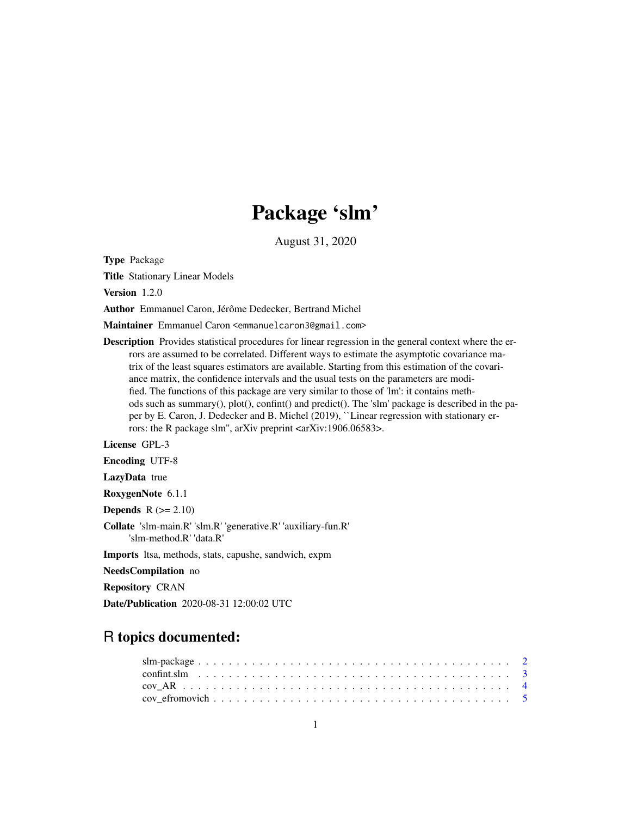## Package 'slm'

August 31, 2020

<span id="page-0-0"></span>Type Package

Title Stationary Linear Models

Version 1.2.0

Author Emmanuel Caron, Jérôme Dedecker, Bertrand Michel

Maintainer Emmanuel Caron <emmanuelcaron3@gmail.com>

Description Provides statistical procedures for linear regression in the general context where the errors are assumed to be correlated. Different ways to estimate the asymptotic covariance matrix of the least squares estimators are available. Starting from this estimation of the covariance matrix, the confidence intervals and the usual tests on the parameters are modified. The functions of this package are very similar to those of 'lm': it contains methods such as summary(), plot(), confint() and predict(). The 'slm' package is described in the paper by E. Caron, J. Dedecker and B. Michel (2019), ``Linear regression with stationary errors: the R package slm'', arXiv preprint <arXiv:1906.06583>.

License GPL-3

Encoding UTF-8

LazyData true

RoxygenNote 6.1.1

Depends  $R (= 2.10)$ 

Collate 'slm-main.R' 'slm.R' 'generative.R' 'auxiliary-fun.R' 'slm-method.R' 'data.R'

Imports ltsa, methods, stats, capushe, sandwich, expm

NeedsCompilation no

Repository CRAN

Date/Publication 2020-08-31 12:00:02 UTC

### R topics documented: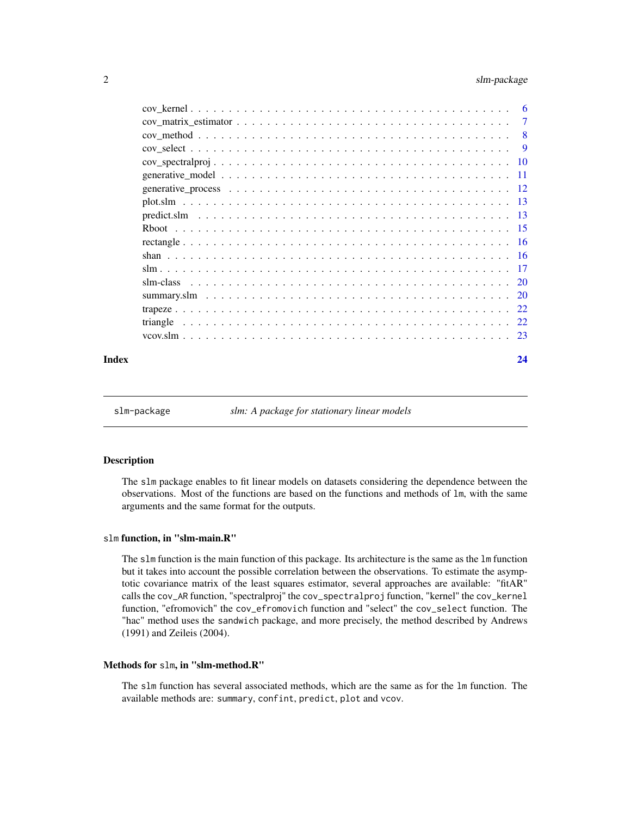<span id="page-1-0"></span>

|       | $cov\_matrix\_estimator \dots \dots \dots \dots \dots \dots \dots \dots \dots \dots \dots \dots \dots \dots \dots \dots \dots \dots$ |    |
|-------|--------------------------------------------------------------------------------------------------------------------------------------|----|
|       |                                                                                                                                      |    |
|       |                                                                                                                                      |    |
|       |                                                                                                                                      |    |
|       |                                                                                                                                      |    |
|       |                                                                                                                                      |    |
|       |                                                                                                                                      |    |
|       |                                                                                                                                      |    |
|       |                                                                                                                                      |    |
|       |                                                                                                                                      |    |
|       |                                                                                                                                      |    |
|       |                                                                                                                                      |    |
|       |                                                                                                                                      |    |
|       |                                                                                                                                      |    |
|       |                                                                                                                                      |    |
|       |                                                                                                                                      |    |
|       |                                                                                                                                      |    |
| Index |                                                                                                                                      | 24 |

slm-package *slm: A package for stationary linear models*

#### Description

The slm package enables to fit linear models on datasets considering the dependence between the observations. Most of the functions are based on the functions and methods of lm, with the same arguments and the same format for the outputs.

#### slm function, in "slm-main.R"

The slm function is the main function of this package. Its architecture is the same as the lm function but it takes into account the possible correlation between the observations. To estimate the asymptotic covariance matrix of the least squares estimator, several approaches are available: "fitAR" calls the cov\_AR function, "spectralproj" the cov\_spectralproj function, "kernel" the cov\_kernel function, "efromovich" the cov\_efromovich function and "select" the cov\_select function. The "hac" method uses the sandwich package, and more precisely, the method described by Andrews (1991) and Zeileis (2004).

#### Methods for slm, in "slm-method.R"

The slm function has several associated methods, which are the same as for the lm function. The available methods are: summary, confint, predict, plot and vcov.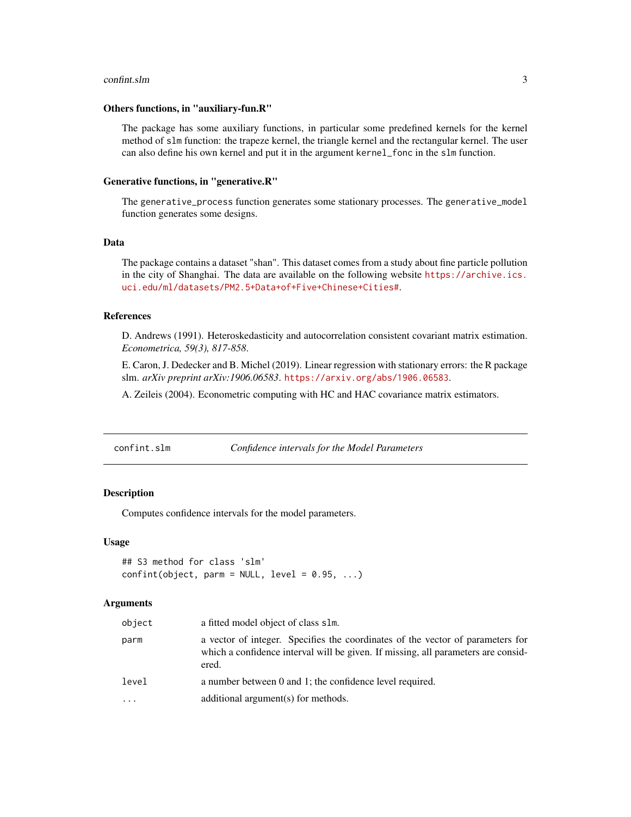#### <span id="page-2-0"></span>confint.slm  $\frac{3}{2}$

#### Others functions, in "auxiliary-fun.R"

The package has some auxiliary functions, in particular some predefined kernels for the kernel method of slm function: the trapeze kernel, the triangle kernel and the rectangular kernel. The user can also define his own kernel and put it in the argument kernel\_fonc in the slm function.

#### Generative functions, in "generative.R"

The generative\_process function generates some stationary processes. The generative\_model function generates some designs.

#### Data

The package contains a dataset "shan". This dataset comes from a study about fine particle pollution in the city of Shanghai. The data are available on the following website [https://archive.ics.](https://archive.ics.uci.edu/ml/datasets/PM2.5+Data+of+Five+Chinese+Cities#) [uci.edu/ml/datasets/PM2.5+Data+of+Five+Chinese+Cities#](https://archive.ics.uci.edu/ml/datasets/PM2.5+Data+of+Five+Chinese+Cities#).

#### References

D. Andrews (1991). Heteroskedasticity and autocorrelation consistent covariant matrix estimation. *Econometrica, 59(3), 817-858*.

E. Caron, J. Dedecker and B. Michel (2019). Linear regression with stationary errors: the R package slm. *arXiv preprint arXiv:1906.06583*. <https://arxiv.org/abs/1906.06583>.

A. Zeileis (2004). Econometric computing with HC and HAC covariance matrix estimators.

confint.slm *Confidence intervals for the Model Parameters*

#### **Description**

Computes confidence intervals for the model parameters.

#### Usage

```
## S3 method for class 'slm'
confint(object, parm = NULL, level = 0.95, ...)
```

| object | a fitted model object of class slm.                                                                                                                                          |
|--------|------------------------------------------------------------------------------------------------------------------------------------------------------------------------------|
| parm   | a vector of integer. Specifies the coordinates of the vector of parameters for<br>which a confidence interval will be given. If missing, all parameters are consid-<br>ered. |
| level  | a number between 0 and 1; the confidence level required.                                                                                                                     |
|        | additional argument(s) for methods.                                                                                                                                          |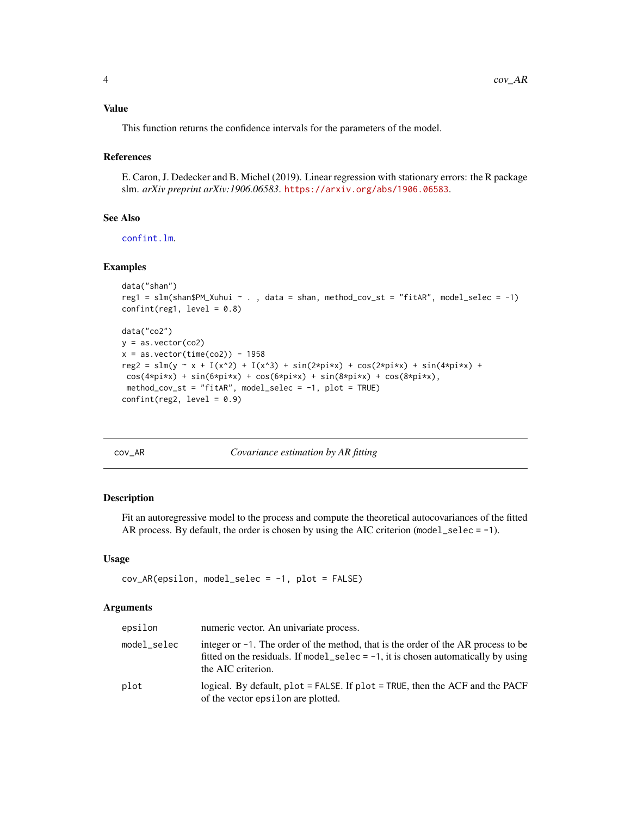#### <span id="page-3-0"></span>Value

This function returns the confidence intervals for the parameters of the model.

#### References

E. Caron, J. Dedecker and B. Michel (2019). Linear regression with stationary errors: the R package slm. *arXiv preprint arXiv:1906.06583*. <https://arxiv.org/abs/1906.06583>.

#### See Also

[confint.lm](#page-0-0).

#### Examples

```
data("shan")
reg1 = slm(Shan$PM_Xuhui ~ . , data = shan, method_cov_st = "fitAR", model_selec = -1)confint(reg1, level = 0.8)data("co2")
y = as.vector(co2)x = as.vector(time(co2)) - 1958reg2 = slm(y - x + I(x^2) + I(x^3) + sin(2*pi*x) + cos(2*pi*x) + sin(4*pi*x) +cos(4*pi*x) + sin(6*pi*x) + cos(6*pi*x) + sin(8*pi*x) + cos(8*pi*x),method_cov_st = "fitAR", model_selec = -1, plot = TRUE)
confint(reg2, level = 0.9)
```

| л<br>. . |  |  |
|----------|--|--|
|----------|--|--|

cov\_AR *Covariance estimation by AR fitting*

#### Description

Fit an autoregressive model to the process and compute the theoretical autocovariances of the fitted AR process. By default, the order is chosen by using the AIC criterion  $(model\_select = -1)$ .

#### Usage

```
cov_AR(epsilon, model_selec = -1, plot = FALSE)
```

| epsilon     | numeric vector. An univariate process.                                                                                                                                                             |
|-------------|----------------------------------------------------------------------------------------------------------------------------------------------------------------------------------------------------|
| model_selec | integer or $-1$ . The order of the method, that is the order of the AR process to be<br>fitted on the residuals. If model_selec = $-1$ , it is chosen automatically by using<br>the AIC criterion. |
| plot        | logical. By default, $plot = FALSE$ . If $plot = TRUE$ , then the ACF and the PACF<br>of the vector epsilon are plotted.                                                                           |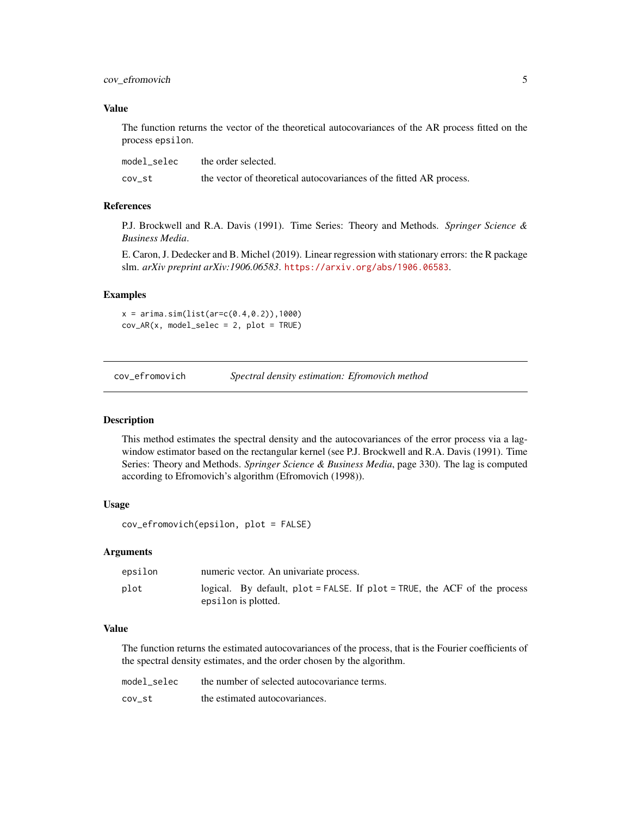#### <span id="page-4-0"></span>cov\_efromovich 5

#### Value

The function returns the vector of the theoretical autocovariances of the AR process fitted on the process epsilon.

| model selec | the order selected.                                                 |
|-------------|---------------------------------------------------------------------|
| cov st      | the vector of theoretical autocovariances of the fitted AR process. |

#### References

P.J. Brockwell and R.A. Davis (1991). Time Series: Theory and Methods. *Springer Science & Business Media*.

E. Caron, J. Dedecker and B. Michel (2019). Linear regression with stationary errors: the R package slm. *arXiv preprint arXiv:1906.06583*. <https://arxiv.org/abs/1906.06583>.

#### Examples

 $x = \arima.sim(list(ar=c(0.4, 0.2)),1000)$  $cov_A R(x, model\_select = 2, plot = TRUE)$ 

cov\_efromovich *Spectral density estimation: Efromovich method*

#### Description

This method estimates the spectral density and the autocovariances of the error process via a lagwindow estimator based on the rectangular kernel (see P.J. Brockwell and R.A. Davis (1991). Time Series: Theory and Methods. *Springer Science & Business Media*, page 330). The lag is computed according to Efromovich's algorithm (Efromovich (1998)).

#### Usage

```
cov_efromovich(epsilon, plot = FALSE)
```
#### Arguments

| epsilon | numeric vector. An univariate process.                                                           |
|---------|--------------------------------------------------------------------------------------------------|
| plot    | logical. By default, plot = FALSE. If plot = TRUE, the ACF of the process<br>epsilon is plotted. |

#### Value

The function returns the estimated autocovariances of the process, that is the Fourier coefficients of the spectral density estimates, and the order chosen by the algorithm.

| model selec | the number of selected autocovariance terms. |
|-------------|----------------------------------------------|
| cov st      | the estimated autocovariances.               |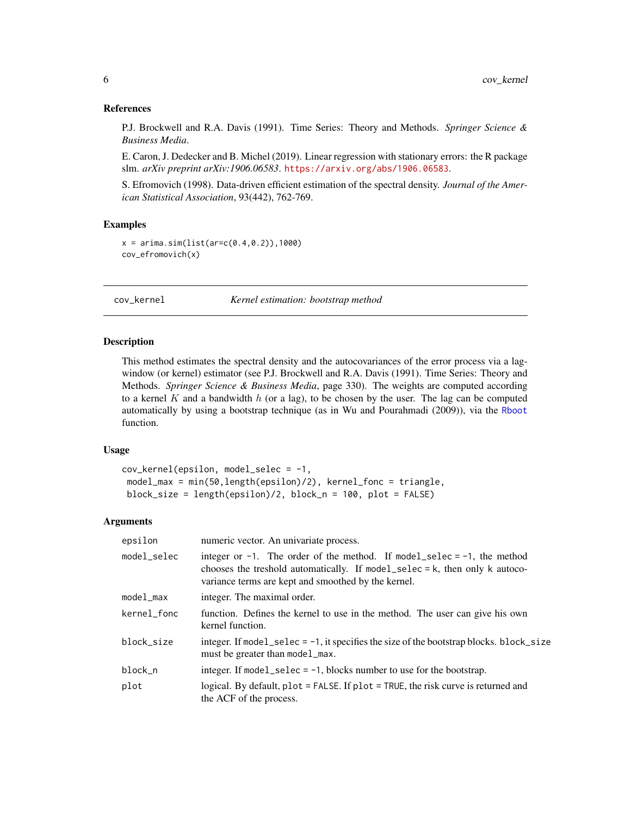<span id="page-5-0"></span>P.J. Brockwell and R.A. Davis (1991). Time Series: Theory and Methods. *Springer Science & Business Media*.

E. Caron, J. Dedecker and B. Michel (2019). Linear regression with stationary errors: the R package slm. *arXiv preprint arXiv:1906.06583*. <https://arxiv.org/abs/1906.06583>.

S. Efromovich (1998). Data-driven efficient estimation of the spectral density. *Journal of the American Statistical Association*, 93(442), 762-769.

#### Examples

```
x = \arima.sim(list(ar=c(0.4, 0.2)), 1000)cov_efromovich(x)
```
cov\_kernel *Kernel estimation: bootstrap method*

#### Description

This method estimates the spectral density and the autocovariances of the error process via a lagwindow (or kernel) estimator (see P.J. Brockwell and R.A. Davis (1991). Time Series: Theory and Methods. *Springer Science & Business Media*, page 330). The weights are computed according to a kernel  $K$  and a bandwidth  $h$  (or a lag), to be chosen by the user. The lag can be computed automatically by using a bootstrap technique (as in Wu and Pourahmadi (2009)), via the [Rboot](#page-14-1) function.

#### Usage

```
cov_kernel(epsilon, model_selec = -1,
model_max = min(50,length(epsilon)/2), kernel_fonc = triangle,
block_size = length(epsilon)/2, block_n = 100, plot = FALSE)
```

| epsilon     | numeric vector. An univariate process.                                                                                                                                                                                     |
|-------------|----------------------------------------------------------------------------------------------------------------------------------------------------------------------------------------------------------------------------|
| model_selec | integer or $-1$ . The order of the method. If model_selec = $-1$ , the method<br>chooses the treshold automatically. If $model\_select = k$ , then only $k$ autoco-<br>variance terms are kept and smoothed by the kernel. |
| model_max   | integer. The maximal order.                                                                                                                                                                                                |
| kernel_fonc | function. Defines the kernel to use in the method. The user can give his own<br>kernel function.                                                                                                                           |
| block size  | integer. If model_selec = $-1$ , it specifies the size of the bootstrap blocks. block_size<br>must be greater than model_max.                                                                                              |
| block_n     | integer. If model_selec = $-1$ , blocks number to use for the bootstrap.                                                                                                                                                   |
| plot        | logical. By default, $plot = FALSE$ . If $plot = TRUE$ , the risk curve is returned and<br>the ACF of the process.                                                                                                         |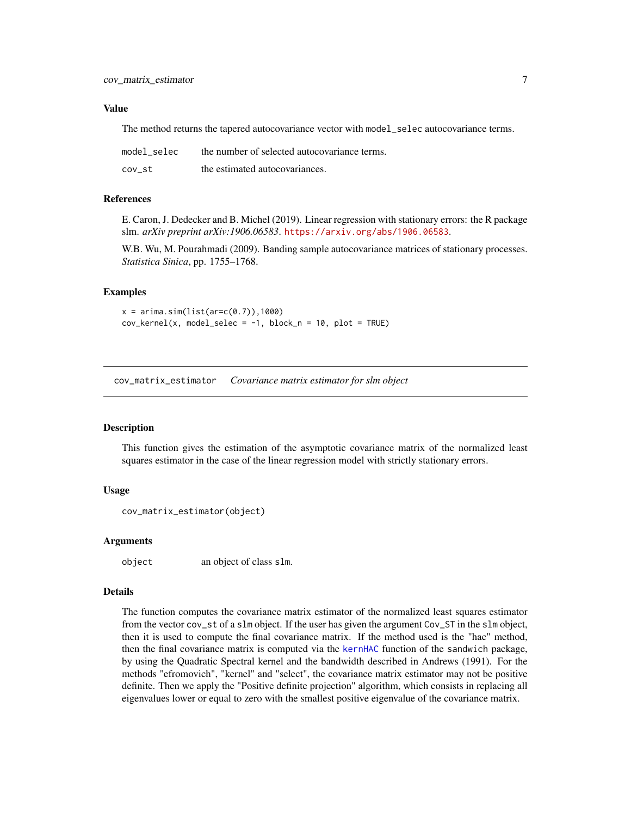#### <span id="page-6-0"></span>Value

The method returns the tapered autocovariance vector with model\_selec autocovariance terms.

| model selec | the number of selected autocovariance terms. |
|-------------|----------------------------------------------|
| cov st      | the estimated autocovariances.               |

#### References

E. Caron, J. Dedecker and B. Michel (2019). Linear regression with stationary errors: the R package slm. *arXiv preprint arXiv:1906.06583*. <https://arxiv.org/abs/1906.06583>.

W.B. Wu, M. Pourahmadi (2009). Banding sample autocovariance matrices of stationary processes. *Statistica Sinica*, pp. 1755–1768.

#### Examples

```
x = \arima.sim(list(ar=c(0.7)),1000)cov_{\text{[}x, \text{model}_{\text{[}x, \text{model}_{\text{[}x, \text{model}_{\text{[}x, \text{model}_{\text{[}x, \text{model}_{\text{[}x, \text{model}_{\text{[}x, \text{model}_{\text{[}x, \text{model}_{\text{[}x, \text{model}_{\text{[}x, \text{model}_{\text{[}x, \text{model}_{\text{[}x, \text{model}_{\text{[}x, \text{model}_{\text{[}x, \text{model}_{\text{[}x, \text{model}_{\text{[}x, \text{model}_{\text{[}x, \text{model}_{\text{[}x, \text{model}_{\text
```
<span id="page-6-1"></span>cov\_matrix\_estimator *Covariance matrix estimator for slm object*

#### **Description**

This function gives the estimation of the asymptotic covariance matrix of the normalized least squares estimator in the case of the linear regression model with strictly stationary errors.

#### Usage

```
cov_matrix_estimator(object)
```
#### Arguments

object an object of class slm.

#### Details

The function computes the covariance matrix estimator of the normalized least squares estimator from the vector cov\_st of a slm object. If the user has given the argument Cov\_ST in the slm object, then it is used to compute the final covariance matrix. If the method used is the "hac" method, then the final covariance matrix is computed via the [kernHAC](#page-0-0) function of the sandwich package, by using the Quadratic Spectral kernel and the bandwidth described in Andrews (1991). For the methods "efromovich", "kernel" and "select", the covariance matrix estimator may not be positive definite. Then we apply the "Positive definite projection" algorithm, which consists in replacing all eigenvalues lower or equal to zero with the smallest positive eigenvalue of the covariance matrix.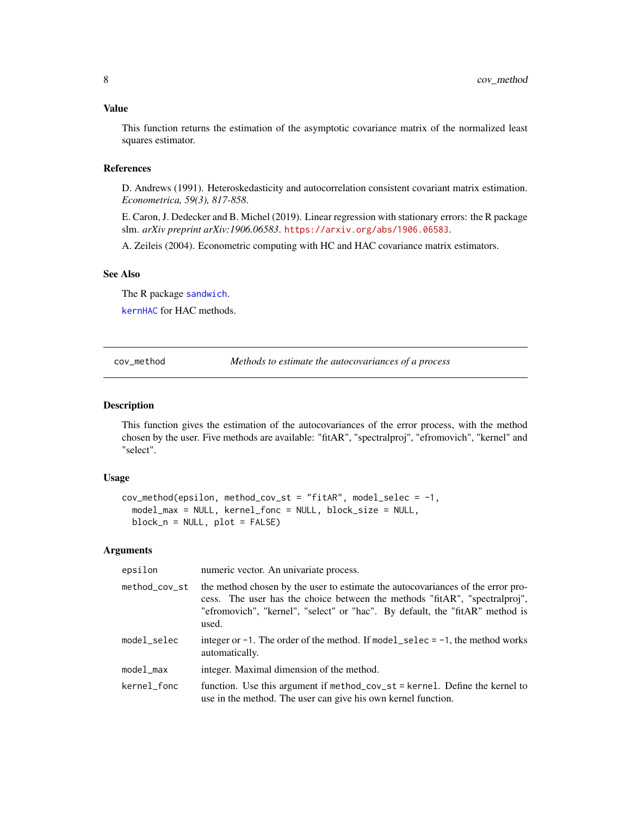#### <span id="page-7-0"></span>Value

This function returns the estimation of the asymptotic covariance matrix of the normalized least squares estimator.

#### References

D. Andrews (1991). Heteroskedasticity and autocorrelation consistent covariant matrix estimation. *Econometrica, 59(3), 817-858*.

E. Caron, J. Dedecker and B. Michel (2019). Linear regression with stationary errors: the R package slm. *arXiv preprint arXiv:1906.06583*. <https://arxiv.org/abs/1906.06583>.

A. Zeileis (2004). Econometric computing with HC and HAC covariance matrix estimators.

#### See Also

The R package [sandwich](#page-0-0).

[kernHAC](#page-0-0) for HAC methods.

cov\_method *Methods to estimate the autocovariances of a process*

#### Description

This function gives the estimation of the autocovariances of the error process, with the method chosen by the user. Five methods are available: "fitAR", "spectralproj", "efromovich", "kernel" and "select".

#### Usage

```
cov_method(epsilon, method_cov_st = "fitAR", model_selec = -1,model_max = NULL, kernel_fonc = NULL, block_size = NULL,
 block_n = NULL, plot = FALSE)
```

| epsilon              | numeric vector. An univariate process.                                                                                                                                                                                                                 |
|----------------------|--------------------------------------------------------------------------------------------------------------------------------------------------------------------------------------------------------------------------------------------------------|
| method_cov_st        | the method chosen by the user to estimate the autocovariances of the error pro-<br>cess. The user has the choice between the methods "fitAR", "spectralproj",<br>"efromovich", "kernel", "select" or "hac". By default, the "fitAR" method is<br>used. |
| model_selec          | integer or $-1$ . The order of the method. If model_selec = $-1$ , the method works<br>automatically.                                                                                                                                                  |
| model <sub>max</sub> | integer. Maximal dimension of the method.                                                                                                                                                                                                              |
| kernel_fonc          | function. Use this argument if method_cov_st = kernel. Define the kernel to<br>use in the method. The user can give his own kernel function.                                                                                                           |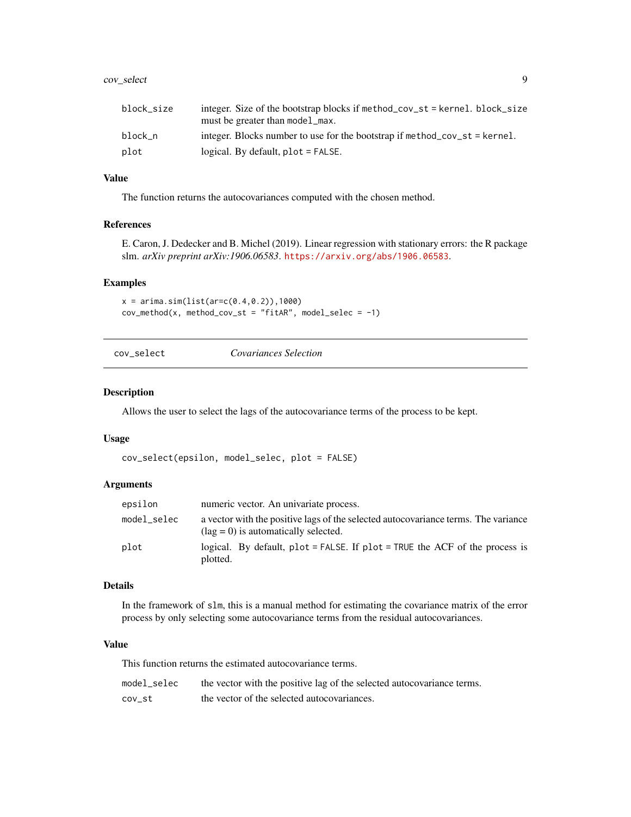#### <span id="page-8-0"></span>cov\_select 9

#### Value

The function returns the autocovariances computed with the chosen method.

#### References

E. Caron, J. Dedecker and B. Michel (2019). Linear regression with stationary errors: the R package slm. *arXiv preprint arXiv:1906.06583*. <https://arxiv.org/abs/1906.06583>.

#### Examples

```
x = \arima.sim(list(ar=c(0.4, 0.2)),1000)cov_method(x, method\_cov_st = "fitAR", model_selec = -1)
```
cov\_select *Covariances Selection*

#### Description

Allows the user to select the lags of the autocovariance terms of the process to be kept.

#### Usage

```
cov_select(epsilon, model_selec, plot = FALSE)
```
#### Arguments

| epsilon     | numeric vector. An univariate process.                                                                                              |
|-------------|-------------------------------------------------------------------------------------------------------------------------------------|
| model selec | a vector with the positive lags of the selected autocovariance terms. The variance<br>$(\text{lag} = 0)$ is automatically selected. |
| plot        | logical. By default, $plot = FALSE$ . If $plot = TRUE$ the ACF of the process is<br>plotted.                                        |

#### Details

In the framework of slm, this is a manual method for estimating the covariance matrix of the error process by only selecting some autocovariance terms from the residual autocovariances.

#### Value

This function returns the estimated autocovariance terms.

| model selec | the vector with the positive lag of the selected autocovariance terms. |
|-------------|------------------------------------------------------------------------|
| cov st      | the vector of the selected autocovariances.                            |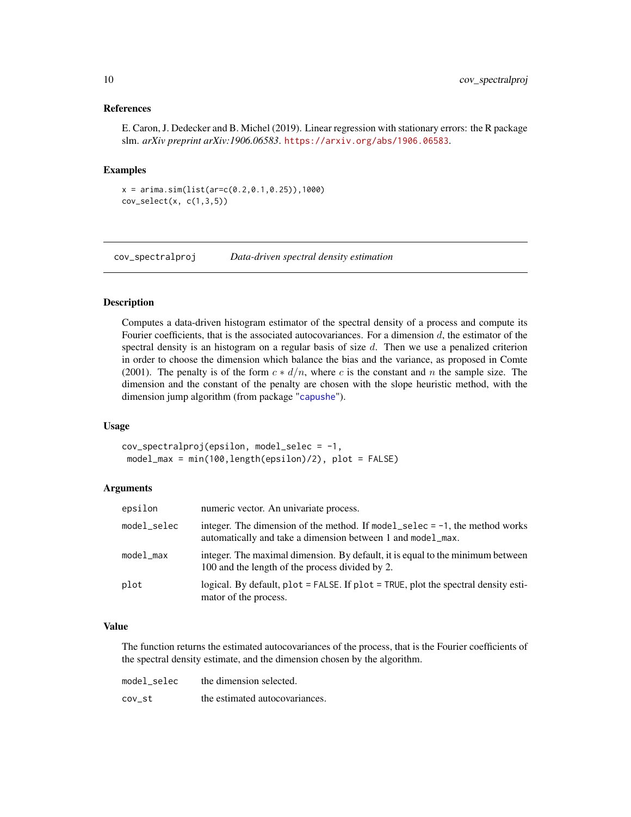<span id="page-9-0"></span>E. Caron, J. Dedecker and B. Michel (2019). Linear regression with stationary errors: the R package slm. *arXiv preprint arXiv:1906.06583*. <https://arxiv.org/abs/1906.06583>.

#### Examples

```
x = \arima.sim(list(ar=c(0.2, 0.1, 0.25)), 1000)
cov\_select(x, c(1,3,5))
```
cov\_spectralproj *Data-driven spectral density estimation*

#### Description

Computes a data-driven histogram estimator of the spectral density of a process and compute its Fourier coefficients, that is the associated autocovariances. For a dimension  $d$ , the estimator of the spectral density is an histogram on a regular basis of size  $d$ . Then we use a penalized criterion in order to choose the dimension which balance the bias and the variance, as proposed in Comte (2001). The penalty is of the form  $c * d/n$ , where c is the constant and n the sample size. The dimension and the constant of the penalty are chosen with the slope heuristic method, with the dimension jump algorithm (from package "[capushe](#page-0-0)").

#### Usage

 $cov\_spectralproj(epsilon, model\_select = -1,$ model\_max = min(100,length(epsilon)/2), plot = FALSE)

#### Arguments

| epsilon     | numeric vector. An univariate process.                                                                                                        |
|-------------|-----------------------------------------------------------------------------------------------------------------------------------------------|
| model_selec | integer. The dimension of the method. If model_selec = $-1$ , the method works<br>automatically and take a dimension between 1 and model_max. |
| model_max   | integer. The maximal dimension. By default, it is equal to the minimum between<br>100 and the length of the process divided by 2.             |
| plot        | logical. By default, $plot = FALSE$ . If $plot = TRUE$ , $plot$ the spectral density esti-<br>mator of the process.                           |

#### Value

The function returns the estimated autocovariances of the process, that is the Fourier coefficients of the spectral density estimate, and the dimension chosen by the algorithm.

| model selec | the dimension selected.        |
|-------------|--------------------------------|
| cov st      | the estimated autocovariances. |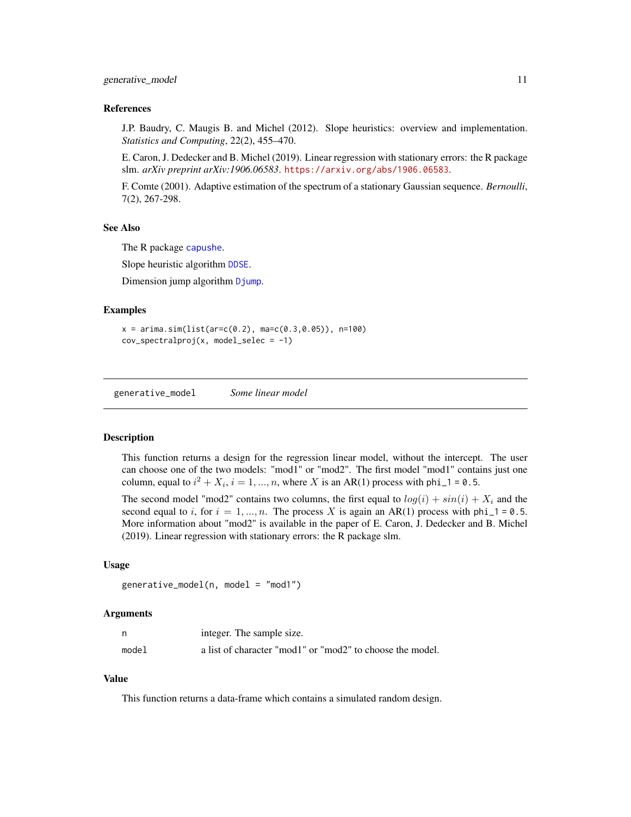<span id="page-10-0"></span>J.P. Baudry, C. Maugis B. and Michel (2012). Slope heuristics: overview and implementation. *Statistics and Computing*, 22(2), 455–470.

E. Caron, J. Dedecker and B. Michel (2019). Linear regression with stationary errors: the R package slm. *arXiv preprint arXiv:1906.06583*. <https://arxiv.org/abs/1906.06583>.

F. Comte (2001). Adaptive estimation of the spectrum of a stationary Gaussian sequence. *Bernoulli*, 7(2), 267-298.

#### See Also

The R package [capushe](#page-0-0).

Slope heuristic algorithm [DDSE](#page-0-0).

Dimension jump algorithm [Djump](#page-0-0).

#### Examples

```
x = \arima.sim(list(ar=c(0.2), ma=c(0.3, 0.05)), n=100)cov_spectralproj(x, model_selec = -1)
```
generative\_model *Some linear model*

#### **Description**

This function returns a design for the regression linear model, without the intercept. The user can choose one of the two models: "mod1" or "mod2". The first model "mod1" contains just one column, equal to  $i^2 + X_i$ ,  $i = 1, ..., n$ , where X is an AR(1) process with phi\_1 = 0.5.

The second model "mod2" contains two columns, the first equal to  $log(i) + sin(i) + X<sub>i</sub>$  and the second equal to i, for  $i = 1, ..., n$ . The process X is again an AR(1) process with phi\_1 = 0.5. More information about "mod2" is available in the paper of E. Caron, J. Dedecker and B. Michel (2019). Linear regression with stationary errors: the R package slm.

#### Usage

```
generative_model(n, model = "mod1")
```
#### Arguments

|       | integer. The sample size.                                 |
|-------|-----------------------------------------------------------|
| model | a list of character "mod1" or "mod2" to choose the model. |

#### Value

This function returns a data-frame which contains a simulated random design.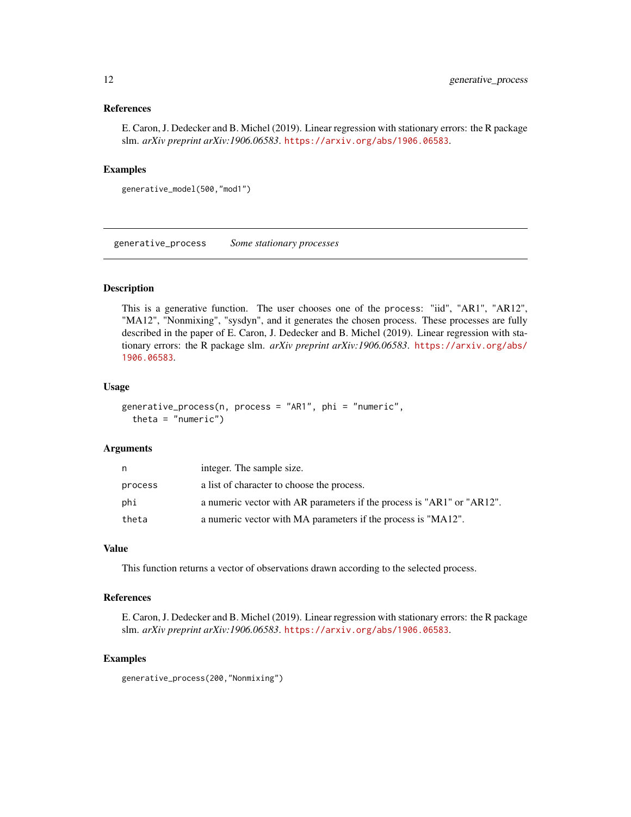<span id="page-11-0"></span>E. Caron, J. Dedecker and B. Michel (2019). Linear regression with stationary errors: the R package slm. *arXiv preprint arXiv:1906.06583*. <https://arxiv.org/abs/1906.06583>.

#### Examples

```
generative_model(500,"mod1")
```
generative\_process *Some stationary processes*

#### **Description**

This is a generative function. The user chooses one of the process: "iid", "AR1", "AR12", "MA12", "Nonmixing", "sysdyn", and it generates the chosen process. These processes are fully described in the paper of E. Caron, J. Dedecker and B. Michel (2019). Linear regression with stationary errors: the R package slm. *arXiv preprint arXiv:1906.06583*. [https://arxiv.org/abs/](https://arxiv.org/abs/1906.06583) [1906.06583](https://arxiv.org/abs/1906.06583).

#### Usage

```
generative_process(n, process = "AR1", phi = "numeric",
  theta = "numeric")
```
#### Arguments

| n       | integer. The sample size.                                              |
|---------|------------------------------------------------------------------------|
| process | a list of character to choose the process.                             |
| phi     | a numeric vector with AR parameters if the process is "AR1" or "AR12". |
| theta   | a numeric vector with MA parameters if the process is "MA12".          |

#### Value

This function returns a vector of observations drawn according to the selected process.

#### References

E. Caron, J. Dedecker and B. Michel (2019). Linear regression with stationary errors: the R package slm. *arXiv preprint arXiv:1906.06583*. <https://arxiv.org/abs/1906.06583>.

#### Examples

generative\_process(200,"Nonmixing")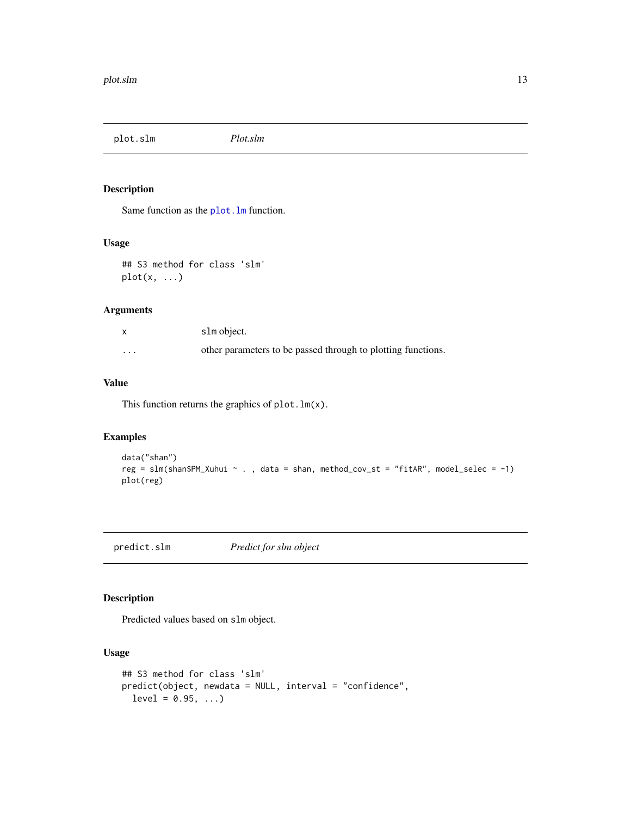<span id="page-12-0"></span>plot.slm *Plot.slm*

#### Description

Same function as the plot. Im function.

#### Usage

## S3 method for class 'slm'  $plot(x, \ldots)$ 

#### Arguments

|          | slm object.                                                  |
|----------|--------------------------------------------------------------|
| $\cdots$ | other parameters to be passed through to plotting functions. |

#### Value

This function returns the graphics of  $plot.lm(x)$ .

#### Examples

```
data("shan")
reg = slm(shan$PM_Xuhui ~ . , data = shan, method_cov_st = "fitAR", model_selec = -1)
plot(reg)
```
predict.slm *Predict for slm object*

#### Description

Predicted values based on slm object.

#### Usage

```
## S3 method for class 'slm'
predict(object, newdata = NULL, interval = "confidence",
 level = 0.95, ...
```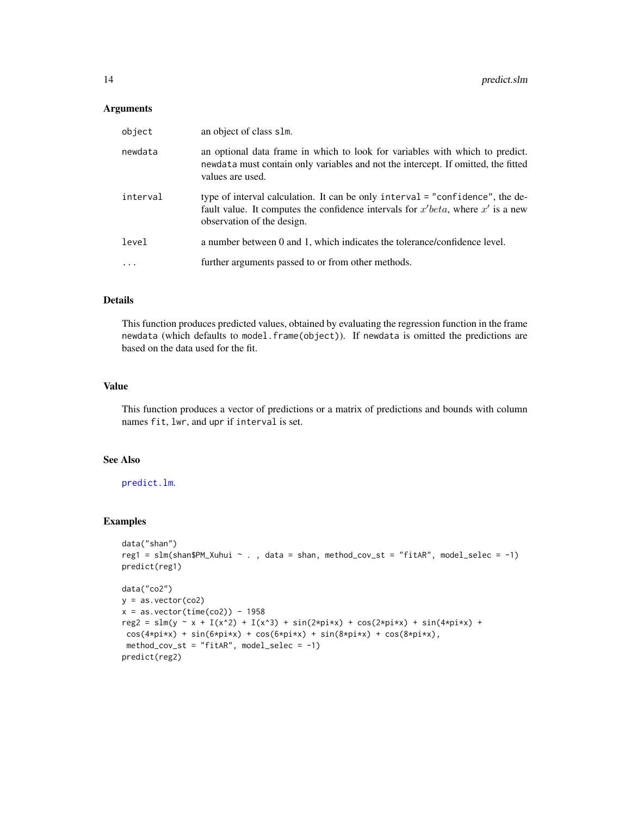#### <span id="page-13-0"></span>Arguments

| object   | an object of class slm.                                                                                                                                                                              |
|----------|------------------------------------------------------------------------------------------------------------------------------------------------------------------------------------------------------|
| newdata  | an optional data frame in which to look for variables with which to predict.<br>newdata must contain only variables and not the intercept. If omitted, the fitted<br>values are used.                |
| interval | type of interval calculation. It can be only interval = "confidence", the de-<br>fault value. It computes the confidence intervals for $x' beta$ , where $x'$ is a new<br>observation of the design. |
| level    | a number between 0 and 1, which indicates the tolerance/confidence level.                                                                                                                            |
|          | further arguments passed to or from other methods.                                                                                                                                                   |
|          |                                                                                                                                                                                                      |

### Details

This function produces predicted values, obtained by evaluating the regression function in the frame newdata (which defaults to model.frame(object)). If newdata is omitted the predictions are based on the data used for the fit.

#### Value

This function produces a vector of predictions or a matrix of predictions and bounds with column names fit, lwr, and upr if interval is set.

#### See Also

#### [predict.lm](#page-0-0).

#### Examples

```
data("shan")
reg1 = slm(shan$PM_Xuhui ~ . , data = shan, method_cov_st = "fitAR", model_selec = -1)predict(reg1)
data("co2")
y = as.vector(co2)x = as.vector(time(co2)) - 1958reg2 = slm(y x + I(x^2) + I(x^3)) + sin(2*pi*x) + cos(2*pi*x) + sin(4*pi*x) +cos(4*pi*x) + sin(6*pi*x) + cos(6*pi*x) + sin(8*pi*x) + cos(8*pi*x),method_cov_st = "fitAR", model_selec = -1)
predict(reg2)
```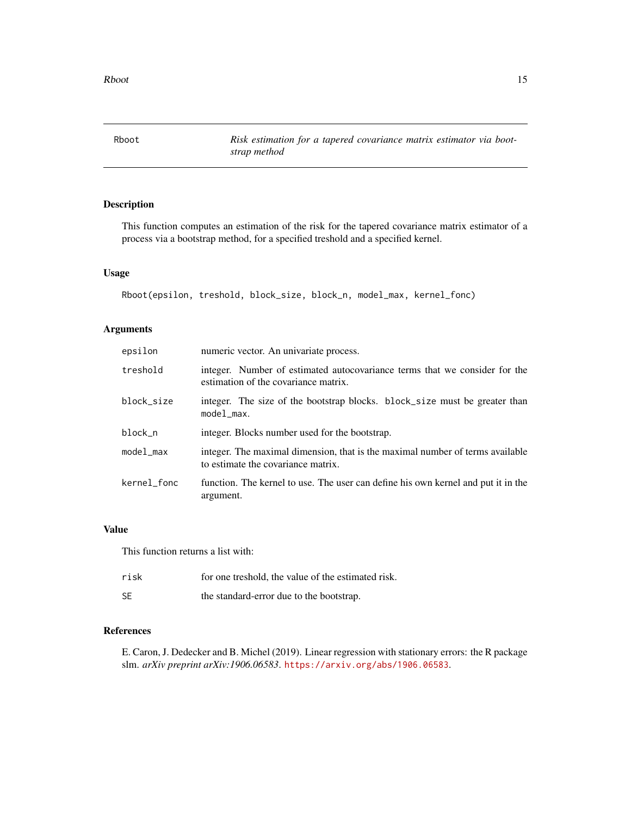<span id="page-14-1"></span><span id="page-14-0"></span>Rboot *Risk estimation for a tapered covariance matrix estimator via bootstrap method*

#### Description

This function computes an estimation of the risk for the tapered covariance matrix estimator of a process via a bootstrap method, for a specified treshold and a specified kernel.

#### Usage

```
Rboot(epsilon, treshold, block_size, block_n, model_max, kernel_fonc)
```
#### Arguments

| epsilon              | numeric vector. An univariate process.                                                                              |
|----------------------|---------------------------------------------------------------------------------------------------------------------|
| treshold             | integer. Number of estimated autocovariance terms that we consider for the<br>estimation of the covariance matrix.  |
| block_size           | integer. The size of the bootstrap blocks. block_size must be greater than<br>model_max.                            |
| block_n              | integer. Blocks number used for the bootstrap.                                                                      |
| model <sub>max</sub> | integer. The maximal dimension, that is the maximal number of terms available<br>to estimate the covariance matrix. |
| kernel_fonc          | function. The kernel to use. The user can define his own kernel and put it in the<br>argument.                      |

#### Value

This function returns a list with:

| risk      | for one treshold, the value of the estimated risk. |
|-----------|----------------------------------------------------|
| <b>SE</b> | the standard-error due to the bootstrap.           |

#### References

E. Caron, J. Dedecker and B. Michel (2019). Linear regression with stationary errors: the R package slm. *arXiv preprint arXiv:1906.06583*. <https://arxiv.org/abs/1906.06583>.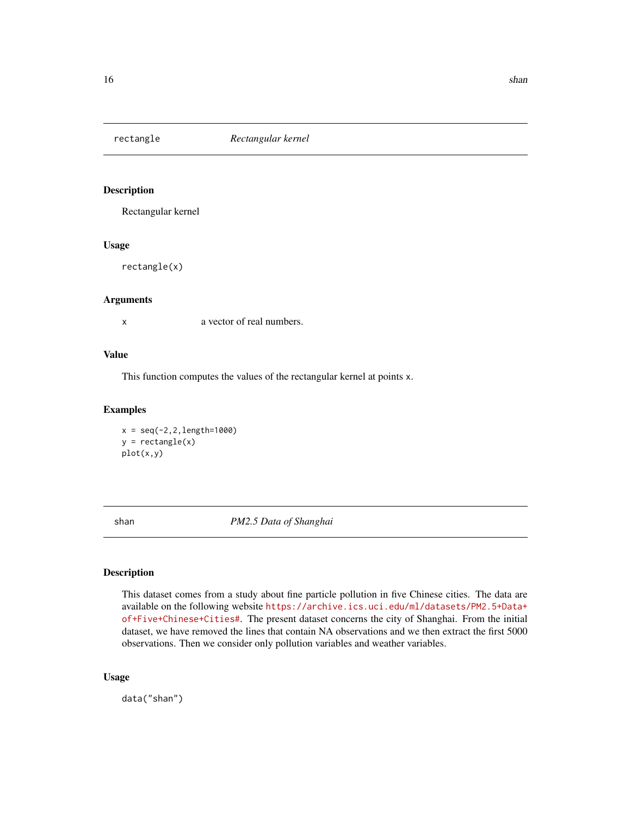<span id="page-15-0"></span>

#### Description

Rectangular kernel

#### Usage

rectangle(x)

#### Arguments

x a vector of real numbers.

#### Value

This function computes the values of the rectangular kernel at points x.

#### Examples

 $x = seq(-2, 2, length=1000)$  $y = rectangle(x)$ plot(x,y)

shan *PM2.5 Data of Shanghai*

#### Description

This dataset comes from a study about fine particle pollution in five Chinese cities. The data are available on the following website [https://archive.ics.uci.edu/ml/datasets/PM2.5+Data+](https://archive.ics.uci.edu/ml/datasets/PM2.5+Data+of+Five+Chinese+Cities#) [of+Five+Chinese+Cities#](https://archive.ics.uci.edu/ml/datasets/PM2.5+Data+of+Five+Chinese+Cities#). The present dataset concerns the city of Shanghai. From the initial dataset, we have removed the lines that contain NA observations and we then extract the first 5000 observations. Then we consider only pollution variables and weather variables.

#### Usage

data("shan")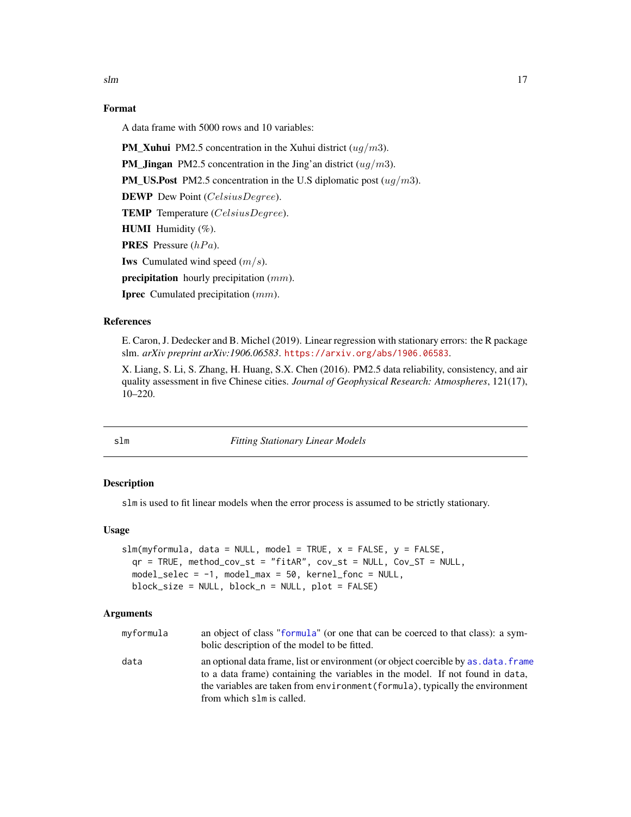#### <span id="page-16-0"></span>Format

A data frame with 5000 rows and 10 variables:

**PM\_Xuhui** PM2.5 concentration in the Xuhui district  $(ug/m3)$ .

**PM\_Jingan** PM2.5 concentration in the Jing'an district  $(ug/m3)$ .

**PM\_US.Post** PM2.5 concentration in the U.S diplomatic post  $(ug/m3)$ .

DEWP Dew Point (CelsiusDegree).

TEMP Temperature (CelsiusDegree).

**HUMI** Humidity (%).

**PRES** Pressure  $(hPa)$ .

**Iws** Cumulated wind speed  $(m/s)$ .

**precipitation** hourly precipitation  $(mm)$ .

**Iprec** Cumulated precipitation (mm).

#### References

E. Caron, J. Dedecker and B. Michel (2019). Linear regression with stationary errors: the R package slm. *arXiv preprint arXiv:1906.06583*. <https://arxiv.org/abs/1906.06583>.

X. Liang, S. Li, S. Zhang, H. Huang, S.X. Chen (2016). PM2.5 data reliability, consistency, and air quality assessment in five Chinese cities. *Journal of Geophysical Research: Atmospheres*, 121(17), 10–220.

<span id="page-16-1"></span>

slm *Fitting Stationary Linear Models*

#### Description

slm is used to fit linear models when the error process is assumed to be strictly stationary.

#### Usage

```
slm(myformula, data = NULL, model = TRUE, x = FALSE, y = FALSE,qr = TRUE, method_cov_st = "fitAR", cov_st = NULL, Cov_ST = NULL,
 model\_select = -1, model\_max = 50, kernel\_fonc = NULL,
 block_size = NULL, block_n = NULL, plot = FALSE)
```

| myformula | an object of class "formula" (or one that can be coerced to that class): a sym-<br>bolic description of the model to be fitted.                                      |
|-----------|----------------------------------------------------------------------------------------------------------------------------------------------------------------------|
| data      | an optional data frame, list or environment (or object coercible by as, data, frame<br>to a data frame) containing the variables in the model. If not found in data, |
|           | the variables are taken from environment (formula), typically the environment                                                                                        |
|           | from which slm is called.                                                                                                                                            |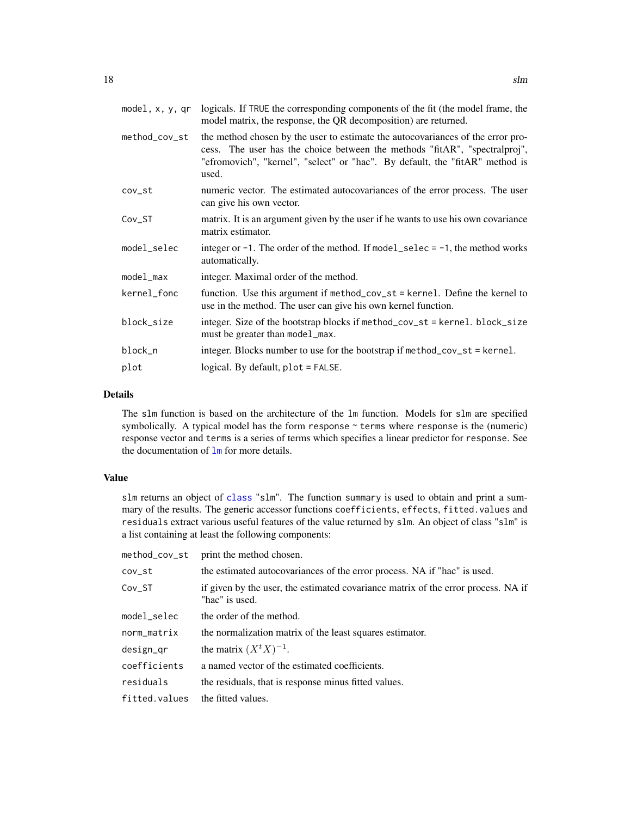<span id="page-17-0"></span>

| model, x, y, qr      | logicals. If TRUE the corresponding components of the fit (the model frame, the<br>model matrix, the response, the QR decomposition) are returned.                                                                                                     |
|----------------------|--------------------------------------------------------------------------------------------------------------------------------------------------------------------------------------------------------------------------------------------------------|
| method_cov_st        | the method chosen by the user to estimate the autocovariances of the error pro-<br>cess. The user has the choice between the methods "fitAR", "spectralproj",<br>"efromovich", "kernel", "select" or "hac". By default, the "fitAR" method is<br>used. |
| cov_st               | numeric vector. The estimated autocovariances of the error process. The user<br>can give his own vector.                                                                                                                                               |
| $Cov_ST$             | matrix. It is an argument given by the user if he wants to use his own covariance<br>matrix estimator.                                                                                                                                                 |
| model_selec          | integer or $-1$ . The order of the method. If model_selec = $-1$ , the method works<br>automatically.                                                                                                                                                  |
| model <sub>max</sub> | integer. Maximal order of the method.                                                                                                                                                                                                                  |
| kernel_fonc          | function. Use this argument if method_cov_st = kernel. Define the kernel to<br>use in the method. The user can give his own kernel function.                                                                                                           |
| block_size           | integer. Size of the bootstrap blocks if method_cov_st = kernel. block_size<br>must be greater than model_max.                                                                                                                                         |
| block_n              | integer. Blocks number to use for the bootstrap if method_cov_st = kernel.                                                                                                                                                                             |
| plot                 | logical. By default, plot = FALSE.                                                                                                                                                                                                                     |

#### Details

The slm function is based on the architecture of the lm function. Models for slm are specified symbolically. A typical model has the form response  $\sim$  terms where response is the (numeric) response vector and terms is a series of terms which specifies a linear predictor for response. See the documentation of [lm](#page-0-0) for more details.

#### Value

slm returns an object of [class](#page-0-0) "slm". The function summary is used to obtain and print a summary of the results. The generic accessor functions coefficients, effects, fitted.values and residuals extract various useful features of the value returned by slm. An object of class "slm" is a list containing at least the following components:

| method_cov_st | print the method chosen.                                                                            |
|---------------|-----------------------------------------------------------------------------------------------------|
| $cov-st$      | the estimated autocovariances of the error process. NA if "hac" is used.                            |
| Cov_ST        | if given by the user, the estimated covariance matrix of the error process. NA if<br>"hac" is used. |
| model_selec   | the order of the method.                                                                            |
| norm_matrix   | the normalization matrix of the least squares estimator.                                            |
| design_qr     | the matrix $(X^t X)^{-1}$ .                                                                         |
| coefficients  | a named vector of the estimated coefficients.                                                       |
| residuals     | the residuals, that is response minus fitted values.                                                |
| fitted.values | the fitted values.                                                                                  |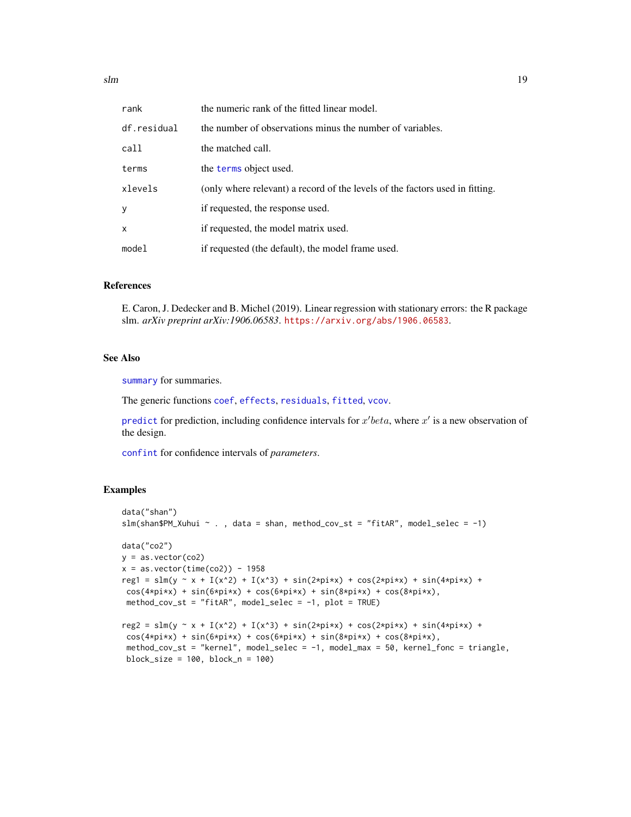<span id="page-18-0"></span> $s$ lm  $19$ 

| rank        | the numeric rank of the fitted linear model.                                 |
|-------------|------------------------------------------------------------------------------|
| df.residual | the number of observations minus the number of variables.                    |
| call        | the matched call.                                                            |
| terms       | the terms object used.                                                       |
| xlevels     | (only where relevant) a record of the levels of the factors used in fitting. |
| У           | if requested, the response used.                                             |
| x           | if requested, the model matrix used.                                         |
| model       | if requested (the default), the model frame used.                            |

#### References

E. Caron, J. Dedecker and B. Michel (2019). Linear regression with stationary errors: the R package slm. *arXiv preprint arXiv:1906.06583*. <https://arxiv.org/abs/1906.06583>.

#### See Also

[summary](#page-0-0) for summaries.

The generic functions [coef](#page-0-0), [effects](#page-0-0), [residuals](#page-0-0), [fitted](#page-0-0), [vcov](#page-0-0).

[predict](#page-0-0) for prediction, including confidence intervals for  $x'$  beta, where  $x'$  is a new observation of the design.

[confint](#page-0-0) for confidence intervals of *parameters*.

#### Examples

```
data("shan")
slm(shan$PM\_Xuhui ~. , data = shan, method\_cov_st = "fitAR", model\_select = -1)data("co2")
y = as.vector(cos2)x = as.vector(time(co2)) - 1958reg1 = slm(y ~ x + I(x^2) + I(x^3) + sin(2*pi*x) + cos(2*pi*x) + sin(4*pi*x) +
cos(4*pi*x) + sin(6*pi*x) + cos(6*pi*x) + sin(8*pi*x) + cos(8*pi*x),method_cov_st = "fitAR", model_selec = -1, plot = TRUE)
reg2 = slm(y \sim x + I(x^2) + I(x^3) + sin(2*pi*x) + cos(2*pi*x) + sin(4*pi*x) +cos(4*pi*x) + sin(6*pi*x) + cos(6*pi*x) + sin(8*pi*x) + cos(8*pi*x),method_cov_st = "kernel", model_selec = -1, model_max = 50, kernel_fonc = triangle,
 block_size = 100, block_n = 100)
```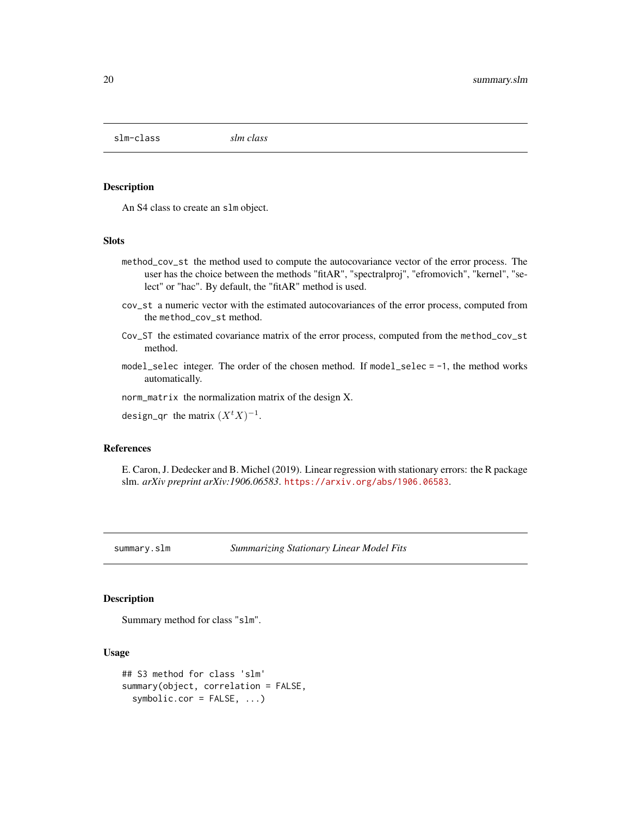<span id="page-19-0"></span>slm-class *slm class*

#### Description

An S4 class to create an slm object.

#### **Slots**

- method\_cov\_st the method used to compute the autocovariance vector of the error process. The user has the choice between the methods "fitAR", "spectralproj", "efromovich", "kernel", "select" or "hac". By default, the "fitAR" method is used.
- cov\_st a numeric vector with the estimated autocovariances of the error process, computed from the method\_cov\_st method.
- Cov\_ST the estimated covariance matrix of the error process, computed from the method\_cov\_st method.
- model\_selec integer. The order of the chosen method. If model\_selec = -1, the method works automatically.

norm\_matrix the normalization matrix of the design X.

design\_qr the matrix  $(X<sup>t</sup> X)^{-1}$ .

#### References

E. Caron, J. Dedecker and B. Michel (2019). Linear regression with stationary errors: the R package slm. *arXiv preprint arXiv:1906.06583*. <https://arxiv.org/abs/1906.06583>.

summary.slm *Summarizing Stationary Linear Model Fits*

#### Description

Summary method for class "slm".

#### Usage

```
## S3 method for class 'slm'
summary(object, correlation = FALSE,
  symbolic.cor = FALSE, ...)
```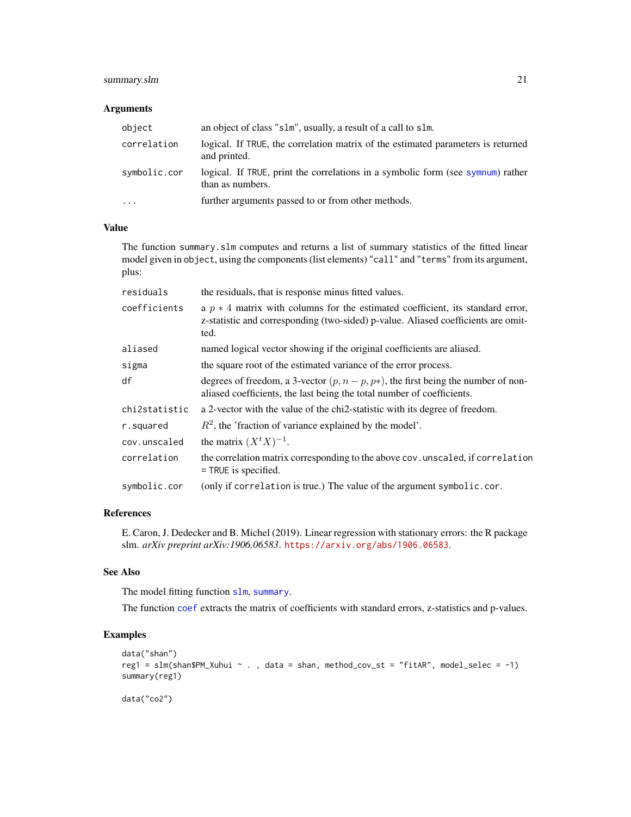#### <span id="page-20-0"></span>summary.slm 21

#### Arguments

| object       | an object of class "slm", usually, a result of a call to slm.                                       |
|--------------|-----------------------------------------------------------------------------------------------------|
| correlation  | logical. If TRUE, the correlation matrix of the estimated parameters is returned<br>and printed.    |
| symbolic.cor | logical. If TRUE, print the correlations in a symbolic form (see symnum) rather<br>than as numbers. |
| $\cdots$     | further arguments passed to or from other methods.                                                  |

#### Value

The function summary.slm computes and returns a list of summary statistics of the fitted linear model given in object, using the components (list elements) "call" and "terms" from its argument, plus:

| residuals     | the residuals, that is response minus fitted values.                                                                                                                          |
|---------------|-------------------------------------------------------------------------------------------------------------------------------------------------------------------------------|
| coefficients  | a $p * 4$ matrix with columns for the estimated coefficient, its standard error,<br>z-statistic and corresponding (two-sided) p-value. Aliased coefficients are omit-<br>ted. |
| aliased       | named logical vector showing if the original coefficients are aliased.                                                                                                        |
| sigma         | the square root of the estimated variance of the error process.                                                                                                               |
| df            | degrees of freedom, a 3-vector $(p, n - p, p*)$ , the first being the number of non-<br>aliased coefficients, the last being the total number of coefficients.                |
| chi2statistic | a 2-vector with the value of the chi2-statistic with its degree of freedom.                                                                                                   |
| r.squared     | $R^2$ , the 'fraction of variance explained by the model'.                                                                                                                    |
| cov.unscaled  | the matrix $(X^t X)^{-1}$ .                                                                                                                                                   |
| correlation   | the correlation matrix corresponding to the above cov. unscaled, if correlation<br>$=$ TRUE is specified.                                                                     |
| symbolic.cor  | (only if correlation is true.) The value of the argument symbolic.cor.                                                                                                        |

#### References

E. Caron, J. Dedecker and B. Michel (2019). Linear regression with stationary errors: the R package slm. *arXiv preprint arXiv:1906.06583*. <https://arxiv.org/abs/1906.06583>.

#### See Also

The model fitting function [slm](#page-16-1), [summary](#page-0-0).

The function [coef](#page-0-0) extracts the matrix of coefficients with standard errors, z-statistics and p-values.

#### Examples

```
data("shan")
reg1 = \text{slm}(shan$PM_Xuhui ~ ., data = shan, method_cov_st = "fitAR", model_selec = -1)
summary(reg1)
data("co2")
```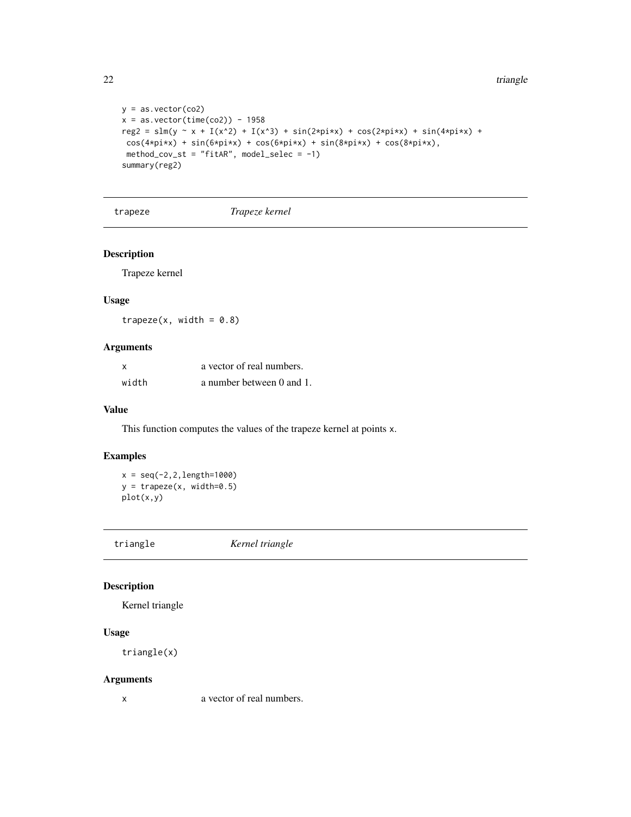$22$  triangle

```
y = as.vector(cos)x = as.vector(time(co2)) - 1958reg2 = slm(y - x + I(x^2) + I(x^3) + sin(2*pi*x) + cos(2*pi*x) + sin(4*pi*x) +cos(4*pi*x) + sin(6*pi*x) + cos(6*pi*x) + sin(8*pi*x) + cos(8*pi*x),method_cov_st = "fitAR", model_selec = -1)
summary(reg2)
```
trapeze *Trapeze kernel*

#### Description

Trapeze kernel

#### Usage

 $trapeze(x, width = 0.8)$ 

#### Arguments

| x     | a vector of real numbers. |
|-------|---------------------------|
| width | a number between 0 and 1. |

#### Value

This function computes the values of the trapeze kernel at points x.

#### Examples

 $x = seq(-2, 2, length=1000)$  $y = \text{trapeze}(x, \text{width=0.5})$ plot(x,y)

triangle *Kernel triangle*

#### Description

Kernel triangle

#### Usage

triangle(x)

#### Arguments

x a vector of real numbers.

<span id="page-21-0"></span>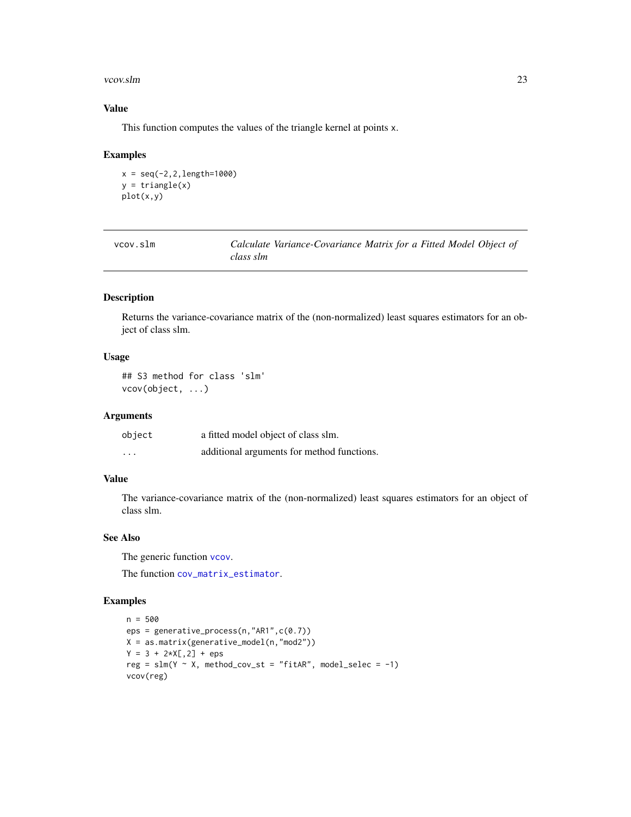#### <span id="page-22-0"></span>vcov.slm 23

#### Value

This function computes the values of the triangle kernel at points x.

#### Examples

```
x = seq(-2, 2, length=1000)y = triangle(x)plot(x,y)
```

| vcov.slm | Calculate Variance-Covariance Matrix for a Fitted Model Object of |
|----------|-------------------------------------------------------------------|
|          | class slm                                                         |

#### Description

Returns the variance-covariance matrix of the (non-normalized) least squares estimators for an object of class slm.

#### Usage

## S3 method for class 'slm' vcov(object, ...)

#### Arguments

| object                  | a fitted model object of class slm.        |
|-------------------------|--------------------------------------------|
| $\cdot$ $\cdot$ $\cdot$ | additional arguments for method functions. |

#### Value

The variance-covariance matrix of the (non-normalized) least squares estimators for an object of class slm.

#### See Also

The generic function [vcov](#page-0-0).

The function [cov\\_matrix\\_estimator](#page-6-1).

#### Examples

```
n = 500
eps = generative_process(n,"AR1",c(0.7))
X = as.matrix(generative_model(n,"mod2"))
Y = 3 + 2 \times X[, 2] + \text{eps}reg = slm(Y \sim X, method\_cov_st = "fitAR", model\_select = -1)vcov(reg)
```